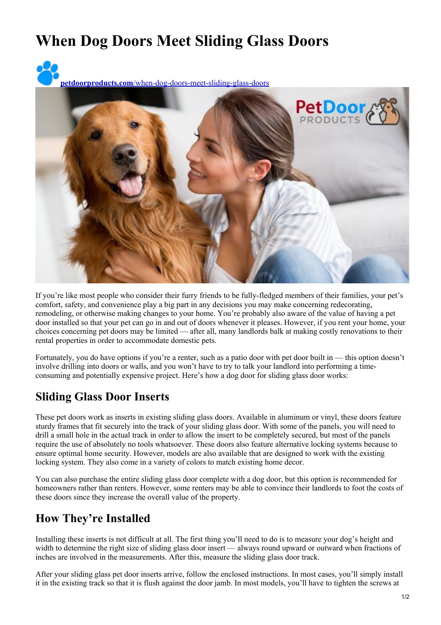## **When Dog Doors Meet Sliding Glass Doors**

**petdoorproducts.com**[/when-dog-doors-meet-sliding-glass-doors](https://petdoorproducts.com/when-dog-doors-meet-sliding-glass-doors/)



If you're like most people who consider their furry friends to be fully-fledged members of their families, your pet's comfort, safety, and convenience play a big part in any decisions you may make concerning redecorating, remodeling, or otherwise making changes to your home. You're probably also aware of the value of having a pet door installed so that your pet can go in and out of doors whenever it pleases. However, if you rent your home, your choices concerning pet doors may be limited — after all, many landlords balk at making costly renovations to their rental properties in order to accommodate domestic pets.

Fortunately, you do have options if you're a renter, such as a patio door with pet door built in — this option doesn't involve drilling into doors or walls, and you won't have to try to talk your landlord into performing a timeconsuming and potentially expensive project. Here's how a dog door for sliding glass door works:

## **Sliding Glass Door Inserts**

These pet doors work as inserts in existing sliding glass doors. Available in aluminum or vinyl, these doors feature sturdy frames that fit securely into the track of your sliding glass door. With some of the panels, you will need to drill a small hole in the actual track in order to allow the insert to be completely secured, but most of the panels require the use of absolutely no tools whatsoever. These doors also feature alternative locking systems because to ensure optimal home security. However, models are also available that are designed to work with the existing locking system. They also come in a variety of colors to match existing home decor.

You can also purchase the entire sliding glass door complete with a dog door, but this option is recommended for homeowners rather than renters. However, some renters may be able to convince their landlords to foot the costs of these doors since they increase the overall value of the property.

## **How They're Installed**

Installing these inserts is not difficult at all. The first thing you'll need to do is to measure your dog's height and width to determine the right size of sliding glass door insert — always round upward or outward when fractions of inches are involved in the measurements. After this, measure the sliding glass door track.

After your sliding glass pet door inserts arrive, follow the enclosed instructions. In most cases, you'll simply install it in the existing track so that it is flush against the door jamb. In most models, you'll have to tighten the screws at